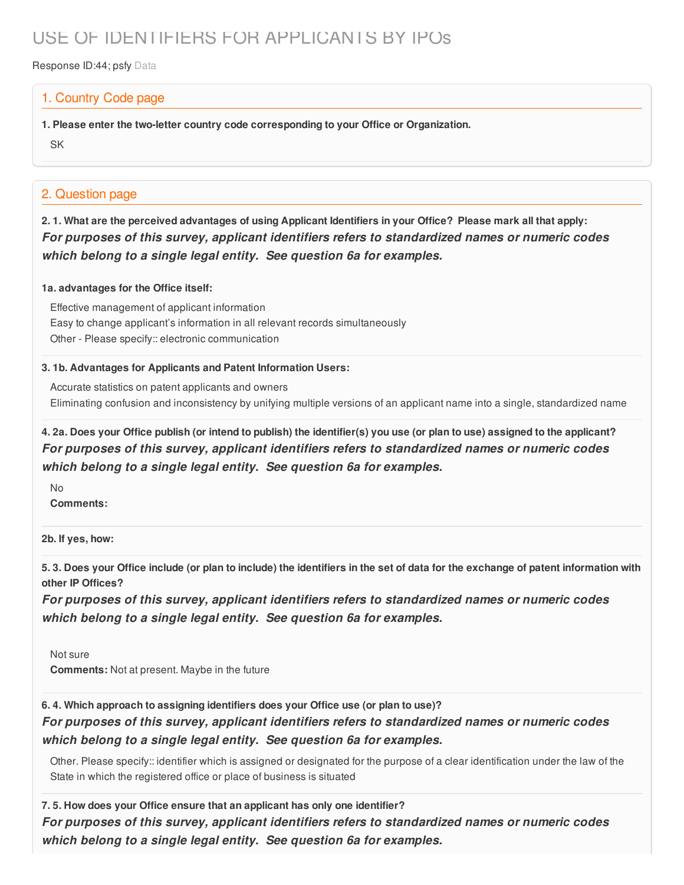# USE OF IDENTIFIERS FOR APPLICANTS BY IPOs

Response ID:44; psfy Data

### 1. Country Code page

**1. Please enter the two-letter country code corresponding to your Office or Organization.**

SK

### 2. Question page

2.1. What are the perceived advantages of using Applicant Identifiers in your Office? Please mark all that apply: *For purposes of this survey, applicant identifiers refers to standardized names or numeric codes which belong to a single legal entity. See question 6a for examples.*

#### **1a. advantages for the Office itself:**

Effective management of applicant information Easy to change applicant's information in all relevant records simultaneously Other - Please specify:: electronic communication

#### **3. 1b. Advantages for Applicants and Patent Information Users:**

Accurate statistics on patent applicants and owners Eliminating confusion and inconsistency by unifying multiple versions of an applicant name into a single, standardized name

### 4. 2a. Does your Office publish (or intend to publish) the identifier(s) you use (or plan to use) assigned to the applicant? *For purposes of this survey, applicant identifiers refers to standardized names or numeric codes which belong to a single legal entity. See question 6a for examples.*

No **Comments:**

**2b. If yes, how:**

5.3. Does your Office include (or plan to include) the identifiers in the set of data for the exchange of patent information with **other IP Offices?**

*For purposes of this survey, applicant identifiers refers to standardized names or numeric codes which belong to a single legal entity. See question 6a for examples.*

Not sure **Comments:** Not at present. Maybe in the future

### **6. 4. Which approach to assigning identifiers does your Office use (or plan to use)?**

*For purposes of this survey, applicant identifiers refers to standardized names or numeric codes which belong to a single legal entity. See question 6a for examples.*

Other. Please specify:: identifier which is assigned or designated for the purpose of a clear identification under the law of the State in which the registered office or place of business is situated

**7. 5. How does your Office ensure that an applicant has only one identifier?** *For purposes of this survey, applicant identifiers refers to standardized names or numeric codes which belong to a single legal entity. See question 6a for examples.*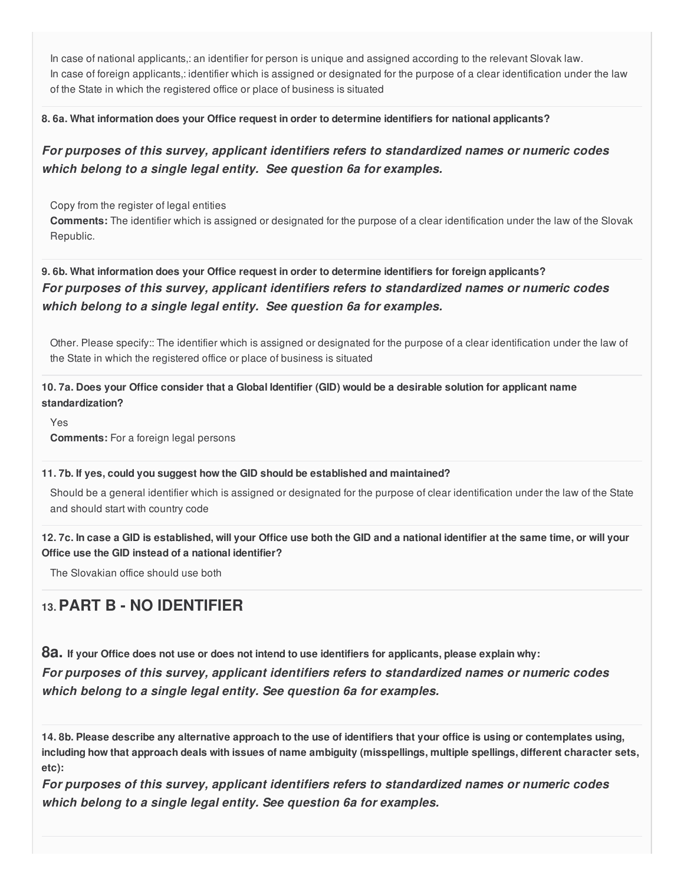In case of national applicants,: an identifier for person is unique and assigned according to the relevant Slovak law. In case of foreign applicants,: identifier which is assigned or designated for the purpose of a clear identification under the law of the State in which the registered office or place of business is situated

#### **8. 6a. What information does your Office request in order to determine identifiers for national applicants?**

### *For purposes of this survey, applicant identifiers refers to standardized names or numeric codes which belong to a single legal entity. See question 6a for examples.*

Copy from the register of legal entities

**Comments:** The identifier which is assigned or designated for the purpose of a clear identification under the law of the Slovak Republic.

### **9. 6b. What information does your Office request in order to determine identifiers for foreign applicants?** *For purposes of this survey, applicant identifiers refers to standardized names or numeric codes which belong to a single legal entity. See question 6a for examples.*

Other. Please specify:: The identifier which is assigned or designated for the purpose of a clear identification under the law of the State in which the registered office or place of business is situated

### 10.7a. Does your Office consider that a Global Identifier (GID) would be a desirable solution for applicant name **standardization?**

Yes

**Comments:** For a foreign legal persons

#### **11. 7b. If yes, could you suggest how the GID should be established and maintained?**

Should be a general identifier which is assigned or designated for the purpose of clear identification under the law of the State and should start with country code

#### 12.7c. In case a GID is established, will your Office use both the GID and a national identifier at the same time, or will your **Office use the GID instead of a national identifier?**

The Slovakian office should use both

## **13.PART B - NO IDENTIFIER**

8a. If your Office does not use or does not intend to use identifiers for applicants, please explain why:

*For purposes of this survey, applicant identifiers refers to standardized names or numeric codes which belong to a single legal entity. See question 6a for examples.*

14.8b. Please describe any alternative approach to the use of identifiers that your office is using or contemplates using, including how that approach deals with issues of name ambiguity (misspellings, multiple spellings, different character sets, **etc):**

*For purposes of this survey, applicant identifiers refers to standardized names or numeric codes which belong to a single legal entity. See question 6a for examples.*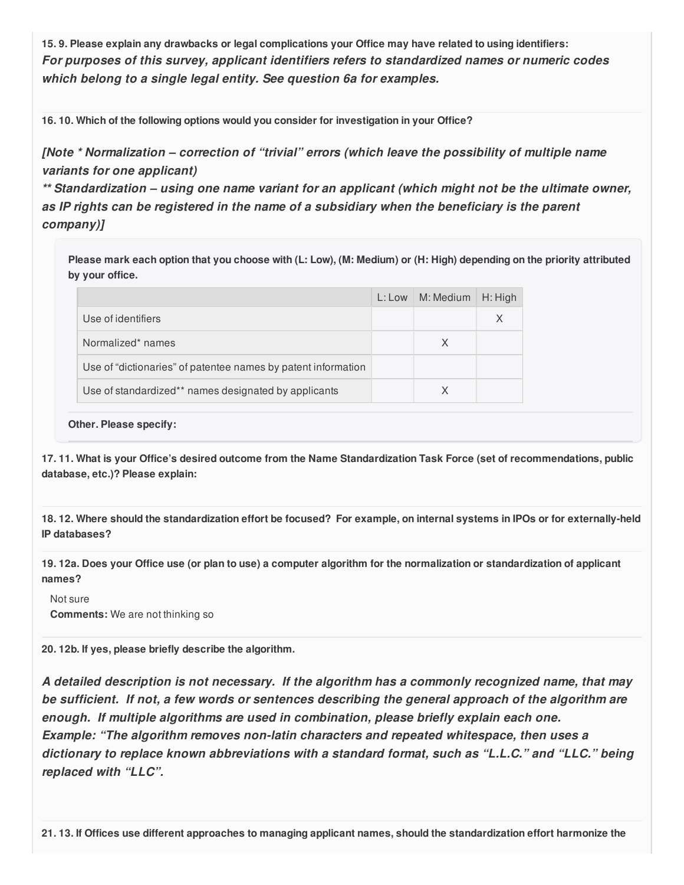15.9. Please explain any drawbacks or legal complications your Office may have related to using identifiers: *For purposes of this survey, applicant identifiers refers to standardized names or numeric codes which belong to a single legal entity. See question 6a for examples.*

**16. 10. Which of the following options would you consider for investigation in your Office?**

*[Note \* Normalization – correction of "trivial" errors (which leave the possibility of multiple name variants for one applicant)*

*\*\* Standardization – using one name variant for an applicant (which might not be the ultimate owner, as IP rights can be registered in the name of a subsidiary when the beneficiary is the parent company)]*

Please mark each option that you choose with (L: Low), (M: Medium) or (H: High) depending on the priority attributed **by your office.**

|                                                               | $L:$ Low $\mid M:$ Medium | $\parallel$ H: High |
|---------------------------------------------------------------|---------------------------|---------------------|
| Use of identifiers                                            |                           | X                   |
| Normalized* names                                             | X                         |                     |
| Use of "dictionaries" of patentee names by patent information |                           |                     |
| Use of standardized** names designated by applicants          | X                         |                     |

#### **Other. Please specify:**

17.11. What is your Office's desired outcome from the Name Standardization Task Force (set of recommendations, public **database, etc.)? Please explain:**

18.12. Where should the standardization effort be focused? For example, on internal systems in IPOs or for externally-held **IP databases?**

19.12a. Does your Office use (or plan to use) a computer algorithm for the normalization or standardization of applicant **names?**

Not sure **Comments:** We are not thinking so

**20. 12b. If yes, please briefly describe the algorithm.**

*A detailed description is not necessary. If the algorithm has a commonly recognized name, that may be sufficient. If not, a few words or sentences describing the general approach of the algorithm are enough. If multiple algorithms are used in combination, please briefly explain each one. Example: "The algorithm removes non-latin characters and repeated whitespace, then uses a dictionary to replace known abbreviations with a standard format, such as "L.L.C." and "LLC." being replaced with "LLC".*